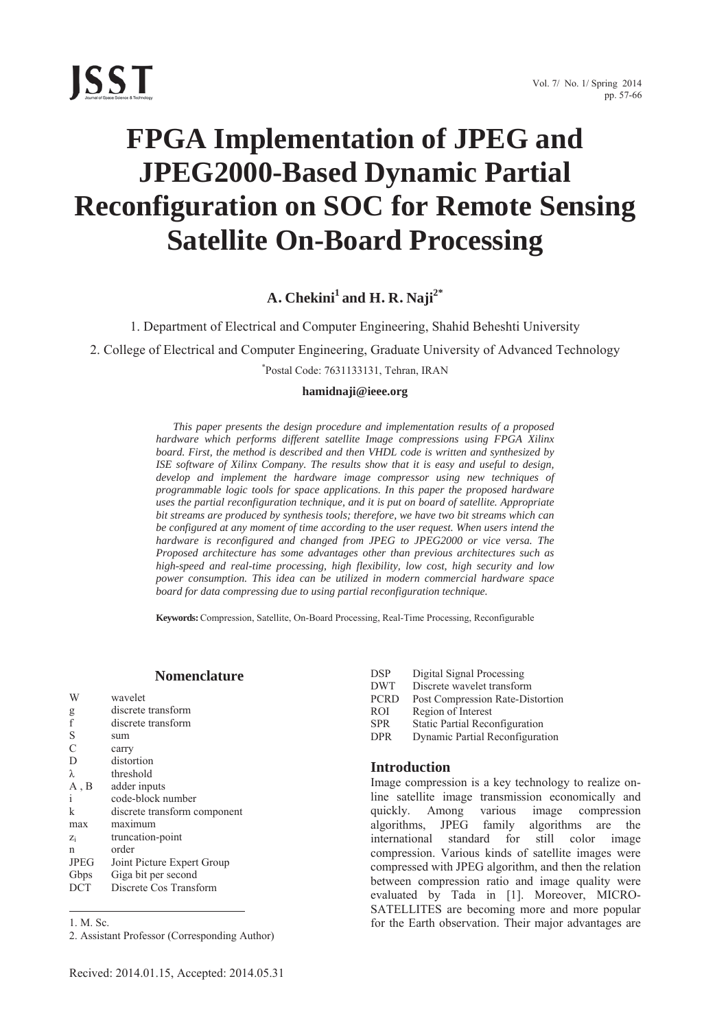

# **FPGA Implementation of JPEG and JPEG2000-Based Dynamic Partial Reconfiguration on SOC for Remote Sensing Satellite On-Board Processing**

**A. Chekini<sup>1</sup> and H. R. Naji2\*** 

1. Department of Electrical and Computer Engineering, Shahid Beheshti University

2. College of Electrical and Computer Engineering, Graduate University of Advanced Technology

\* Postal Code: 7631133131, Tehran, IRAN

## **hamidnaji@ieee.org**

*This paper presents the design procedure and implementation results of a proposed hardware which performs different satellite Image compressions using FPGA Xilinx board. First, the method is described and then VHDL code is written and synthesized by ISE software of Xilinx Company. The results show that it is easy and useful to design, develop and implement the hardware image compressor using new techniques of programmable logic tools for space applications. In this paper the proposed hardware uses the partial reconfiguration technique, and it is put on board of satellite. Appropriate bit streams are produced by synthesis tools; therefore, we have two bit streams which can be configured at any moment of time according to the user request. When users intend the hardware is reconfigured and changed from JPEG to JPEG2000 or vice versa. The Proposed architecture has some advantages other than previous architectures such as high-speed and real-time processing, high flexibility, low cost, high security and low power consumption. This idea can be utilized in modern commercial hardware space board for data compressing due to using partial reconfiguration technique.* 

**Keywords:** Compression, Satellite, On-Board Processing, Real-Time Processing, Reconfigurable

## **Nomenclature**

| W             | wavelet                      |
|---------------|------------------------------|
| g             | discrete transform           |
| $\ddot{f}$    | discrete transform           |
| S             | sum                          |
| $\mathcal{C}$ | carry                        |
| D             | distortion                   |
| λ             | threshold                    |
| A, B          | adder inputs                 |
| i             | code-block number            |
| k             | discrete transform component |
| max           | maximum                      |
| $Z_i$         | truncation-point             |
| n             | order                        |
| <b>JPEG</b>   | Joint Picture Expert Group   |
| Gbps          | Giga bit per second          |
| <b>DCT</b>    | Discrete Cos Transform       |

1. M. Sc.

 $\overline{a}$ 

| <b>DSP</b>  | Digital Signal Processing        |
|-------------|----------------------------------|
| <b>DWT</b>  | Discrete wavelet transform       |
| <b>PCRD</b> | Post Compression Rate-Distortion |
| <b>ROI</b>  | Region of Interest               |
| <b>SPR</b>  | Static Partial Reconfiguration   |
| <b>DPR</b>  | Dynamic Partial Reconfiguration  |
|             |                                  |

## **Introduction**

Image compression is a key technology to realize online satellite image transmission economically and quickly. Among various image compression algorithms, JPEG family algorithms are the international standard for still color image compression. Various kinds of satellite images were compressed with JPEG algorithm, and then the relation between compression ratio and image quality were evaluated by Tada in [1]. Moreover, MICRO-SATELLITES are becoming more and more popular for the Earth observation. Their major advantages are

<sup>2.</sup> Assistant Professor (Corresponding Author)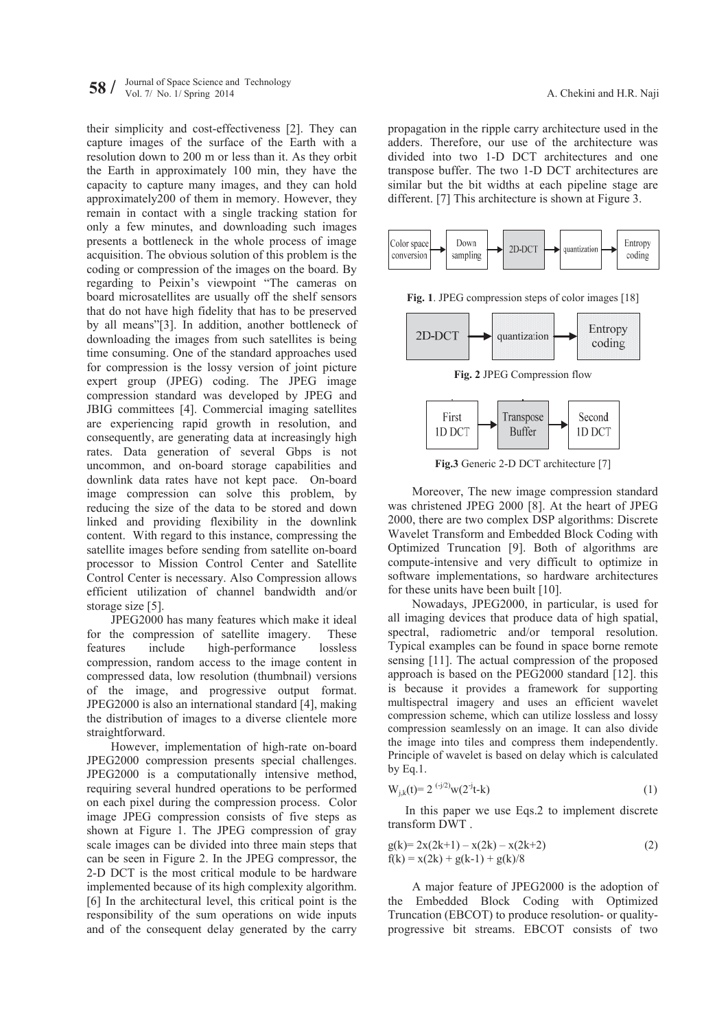their simplicity and cost-effectiveness [2]. They can capture images of the surface of the Earth with a resolution down to 200 m or less than it. As they orbit the Earth in approximately 100 min, they have the capacity to capture many images, and they can hold approximately200 of them in memory. However, they remain in contact with a single tracking station for only a few minutes, and downloading such images presents a bottleneck in the whole process of image acquisition. The obvious solution of this problem is the coding or compression of the images on the board. By regarding to Peixin's viewpoint "The cameras on board microsatellites are usually off the shelf sensors that do not have high fidelity that has to be preserved by all means"[3]. In addition, another bottleneck of downloading the images from such satellites is being time consuming. One of the standard approaches used for compression is the lossy version of joint picture expert group (JPEG) coding. The JPEG image compression standard was developed by JPEG and JBIG committees [4]. Commercial imaging satellites are experiencing rapid growth in resolution, and consequently, are generating data at increasingly high rates. Data generation of several Gbps is not uncommon, and on-board storage capabilities and downlink data rates have not kept pace. On-board image compression can solve this problem, by reducing the size of the data to be stored and down linked and providing flexibility in the downlink content. With regard to this instance, compressing the satellite images before sending from satellite on-board processor to Mission Control Center and Satellite Control Center is necessary. Also Compression allows efficient utilization of channel bandwidth and/or storage size [5].

JPEG2000 has many features which make it ideal for the compression of satellite imagery. These features include high-performance lossless compression, random access to the image content in compressed data, low resolution (thumbnail) versions of the image, and progressive output format. JPEG2000 is also an international standard [4], making the distribution of images to a diverse clientele more straightforward.

However, implementation of high-rate on-board JPEG2000 compression presents special challenges. JPEG2000 is a computationally intensive method, requiring several hundred operations to be performed on each pixel during the compression process. Color image JPEG compression consists of five steps as shown at Figure 1. The JPEG compression of gray scale images can be divided into three main steps that can be seen in Figure 2. In the JPEG compressor, the 2-D DCT is the most critical module to be hardware implemented because of its high complexity algorithm. [6] In the architectural level, this critical point is the responsibility of the sum operations on wide inputs and of the consequent delay generated by the carry

propagation in the ripple carry architecture used in the adders. Therefore, our use of the architecture was divided into two 1-D DCT architectures and one transpose buffer. The two 1-D DCT architectures are similar but the bit widths at each pipeline stage are different. [7] This architecture is shown at Figure 3.



**Fig. 1**. JPEG compression steps of color images [18]



**Fig. 2** JPEG Compression flow



**Fig.3** Generic 2-D DCT architecture [7]

Moreover, The new image compression standard was christened JPEG 2000 [8]. At the heart of JPEG 2000, there are two complex DSP algorithms: Discrete Wavelet Transform and Embedded Block Coding with Optimized Truncation [9]. Both of algorithms are compute-intensive and very difficult to optimize in software implementations, so hardware architectures for these units have been built [10].

Nowadays, JPEG2000, in particular, is used for all imaging devices that produce data of high spatial, spectral, radiometric and/or temporal resolution. Typical examples can be found in space borne remote sensing [11]. The actual compression of the proposed approach is based on the PEG2000 standard [12]. this is because it provides a framework for supporting multispectral imagery and uses an efficient wavelet compression scheme, which can utilize lossless and lossy compression seamlessly on an image. It can also divide the image into tiles and compress them independently. Principle of wavelet is based on delay which is calculated by Eq.1.

$$
W_{j,k}(t) = 2^{(-j/2)}w(2^{-j}t-k)
$$
 (1)

In this paper we use Eqs.2 to implement discrete transform DWT .

$$
g(k)= 2x(2k+1) - x(2k) - x(2k+2)
$$
  
f(k) = x(2k) + g(k-1) + g(k)/8 (2)

A major feature of JPEG2000 is the adoption of the Embedded Block Coding with Optimized Truncation (EBCOT) to produce resolution- or qualityprogressive bit streams. EBCOT consists of two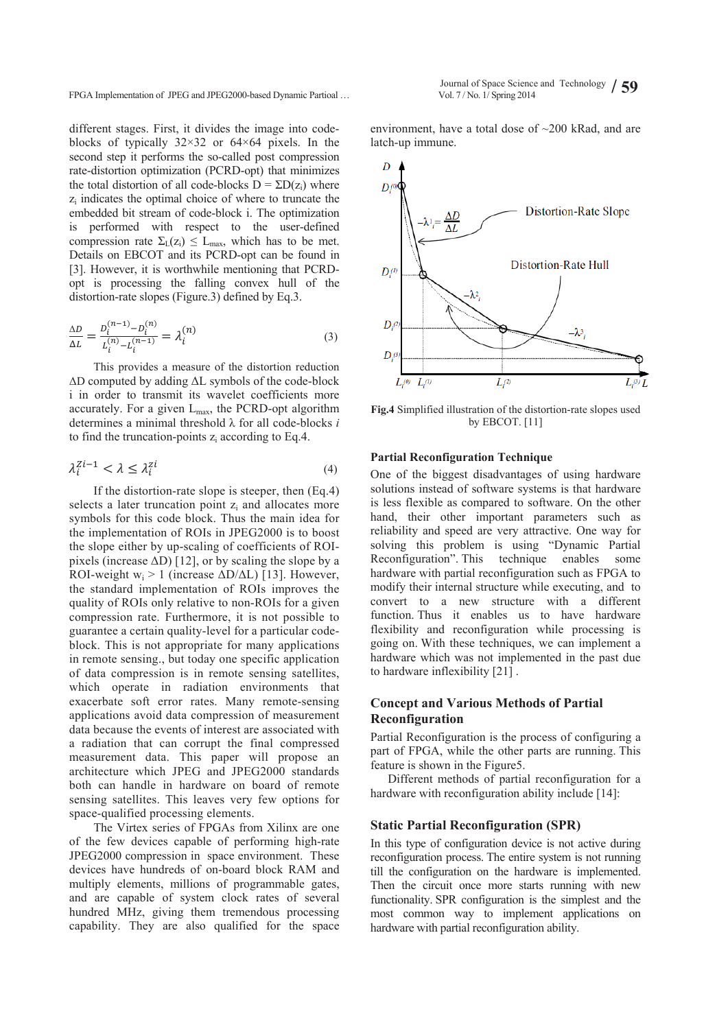FPGA Implementation of JPEG and JPEG2000-based Dynamic Partioal …

different stages. First, it divides the image into codeblocks of typically  $32\times32$  or  $64\times64$  pixels. In the second step it performs the so-called post compression rate-distortion optimization (PCRD-opt) that minimizes the total distortion of all code-blocks  $D = \sum D(z_i)$  where zi indicates the optimal choice of where to truncate the embedded bit stream of code-block i. The optimization is performed with respect to the user-defined compression rate  $\Sigma_L(z_i) \leq L_{max}$ , which has to be met. Details on EBCOT and its PCRD-opt can be found in [3]. However, it is worthwhile mentioning that PCRDopt is processing the falling convex hull of the distortion-rate slopes (Figure.3) defined by Eq.3.

$$
\frac{\Delta D}{\Delta L} = \frac{D_i^{(n-1)} - D_i^{(n)}}{L_i^{(n)} - L_i^{(n-1)}} = \lambda_i^{(n)}
$$
\n(3)

This provides a measure of the distortion reduction  $\Delta D$  computed by adding  $\Delta L$  symbols of the code-block i in order to transmit its wavelet coefficients more accurately. For a given  $L_{\text{max}}$ , the PCRD-opt algorithm determines a minimal threshold  $\lambda$  for all code-blocks *i* to find the truncation-points zi according to Eq.4.

$$
\lambda_i^{Zi-1} < \lambda \le \lambda_i^{zi} \tag{4}
$$

If the distortion-rate slope is steeper, then (Eq.4) selects a later truncation point z<sub>i</sub> and allocates more symbols for this code block. Thus the main idea for the implementation of ROIs in JPEG2000 is to boost the slope either by up-scaling of coefficients of ROIpixels (increase  $\Delta D$ ) [12], or by scaling the slope by a ROI-weight  $w_i > 1$  (increase  $\Delta D/\Delta L$ ) [13]. However, the standard implementation of ROIs improves the quality of ROIs only relative to non-ROIs for a given compression rate. Furthermore, it is not possible to guarantee a certain quality-level for a particular codeblock. This is not appropriate for many applications in remote sensing., but today one specific application of data compression is in remote sensing satellites, which operate in radiation environments that exacerbate soft error rates. Many remote-sensing applications avoid data compression of measurement data because the events of interest are associated with a radiation that can corrupt the final compressed measurement data. This paper will propose an architecture which JPEG and JPEG2000 standards both can handle in hardware on board of remote sensing satellites. This leaves very few options for space-qualified processing elements.

The Virtex series of FPGAs from Xilinx are one of the few devices capable of performing high-rate JPEG2000 compression in space environment. These devices have hundreds of on-board block RAM and multiply elements, millions of programmable gates, and are capable of system clock rates of several hundred MHz, giving them tremendous processing capability. They are also qualified for the space

environment, have a total dose of ~200 kRad, and are latch-up immune.



**Fig.4** Simplified illustration of the distortion-rate slopes used by EBCOT. [11]

## **Partial Reconfiguration Technique**

One of the biggest disadvantages of using hardware solutions instead of software systems is that hardware is less flexible as compared to software. On the other hand, their other important parameters such as reliability and speed are very attractive. One way for solving this problem is using "Dynamic Partial Reconfiguration". This technique enables some hardware with partial reconfiguration such as FPGA to modify their internal structure while executing, and to convert to a new structure with a different function. Thus it enables us to have hardware flexibility and reconfiguration while processing is going on. With these techniques, we can implement a hardware which was not implemented in the past due to hardware inflexibility [21] .

# **Concept and Various Methods of Partial Reconfiguration**

Partial Reconfiguration is the process of configuring a part of FPGA, while the other parts are running. This feature is shown in the Figure5.

Different methods of partial reconfiguration for a hardware with reconfiguration ability include [14]:

# **Static Partial Reconfiguration (SPR)**

In this type of configuration device is not active during reconfiguration process. The entire system is not running till the configuration on the hardware is implemented. Then the circuit once more starts running with new functionality. SPR configuration is the simplest and the most common way to implement applications on hardware with partial reconfiguration ability.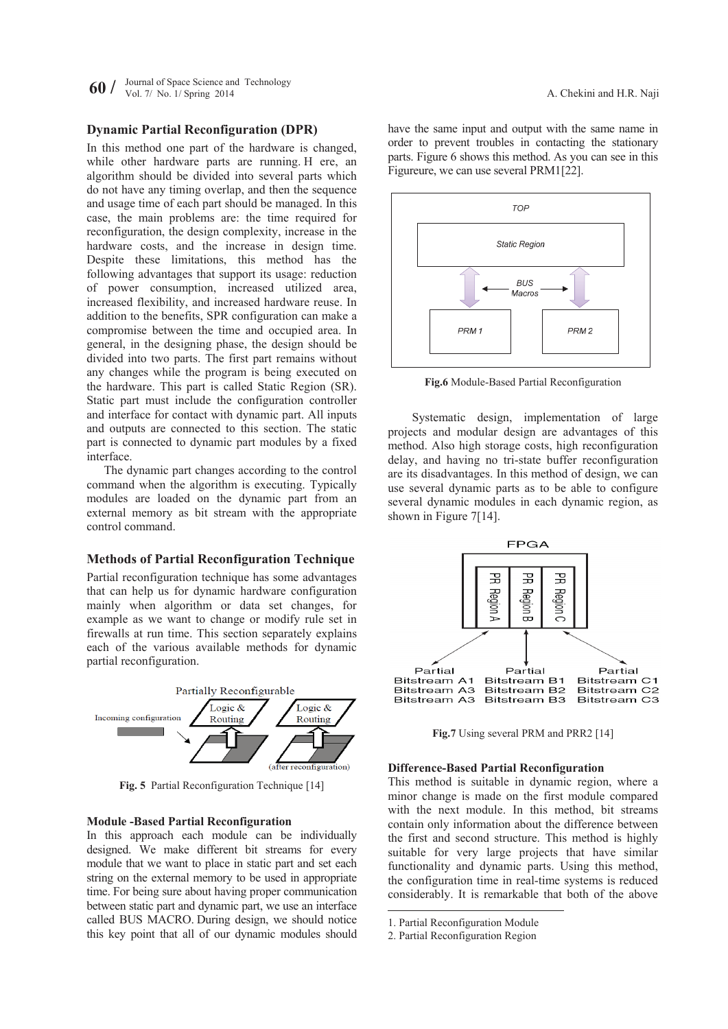**60**  $\ell$  Journal of Space Science and Technology **60**  $\ell$  Max *No. 1/ Spring 2014 A. Chekini and H.R. Naji A. Chekini and H.R. Naji* 

# **Dynamic Partial Reconfiguration (DPR)**

In this method one part of the hardware is changed, while other hardware parts are running. H ere, an algorithm should be divided into several parts which do not have any timing overlap, and then the sequence and usage time of each part should be managed. In this case, the main problems are: the time required for reconfiguration, the design complexity, increase in the hardware costs, and the increase in design time. Despite these limitations, this method has the following advantages that support its usage: reduction of power consumption, increased utilized area, increased flexibility, and increased hardware reuse. In addition to the benefits, SPR configuration can make a compromise between the time and occupied area. In general, in the designing phase, the design should be divided into two parts. The first part remains without any changes while the program is being executed on the hardware. This part is called Static Region (SR). Static part must include the configuration controller and interface for contact with dynamic part. All inputs and outputs are connected to this section. The static part is connected to dynamic part modules by a fixed interface.

The dynamic part changes according to the control command when the algorithm is executing. Typically modules are loaded on the dynamic part from an external memory as bit stream with the appropriate control command.

# **Methods of Partial Reconfiguration Technique**

Partial reconfiguration technique has some advantages that can help us for dynamic hardware configuration mainly when algorithm or data set changes, for example as we want to change or modify rule set in firewalls at run time. This section separately explains each of the various available methods for dynamic partial reconfiguration.



**Fig. 5** Partial Reconfiguration Technique [14]

## **Module -Based Partial Reconfiguration**

In this approach each module can be individually designed. We make different bit streams for every module that we want to place in static part and set each string on the external memory to be used in appropriate time. For being sure about having proper communication between static part and dynamic part, we use an interface called BUS MACRO. During design, we should notice this key point that all of our dynamic modules should

have the same input and output with the same name in order to prevent troubles in contacting the stationary parts. Figure 6 shows this method. As you can see in this Figureure, we can use several PRM1[22].



**Fig.6** Module-Based Partial Reconfiguration

Systematic design, implementation of large projects and modular design are advantages of this method. Also high storage costs, high reconfiguration delay, and having no tri-state buffer reconfiguration are its disadvantages. In this method of design, we can use several dynamic parts as to be able to configure several dynamic modules in each dynamic region, as shown in Figure 7[14].



**Fig.7** Using several PRM and PRR2 [14]

## **Difference-Based Partial Reconfiguration**

This method is suitable in dynamic region, where a minor change is made on the first module compared with the next module. In this method, bit streams contain only information about the difference between the first and second structure. This method is highly suitable for very large projects that have similar functionality and dynamic parts. Using this method, the configuration time in real-time systems is reduced considerably. It is remarkable that both of the above

-

<sup>1.</sup> Partial Reconfiguration Module

<sup>2.</sup> Partial Reconfiguration Region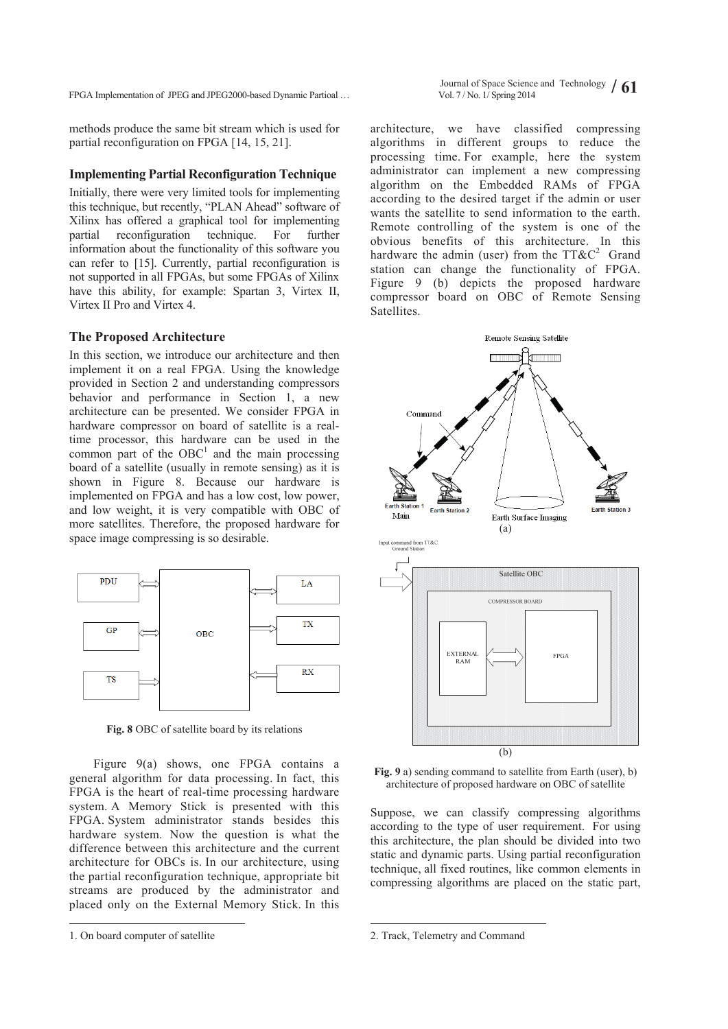FPGA Implementation of JPEG and JPEG2000-based Dynamic Partioal …

Journal of Space Science and Technology  $/ 61$ <br>Vol. 7/No. 1/ Spring 2014

methods produce the same bit stream which is used for partial reconfiguration on FPGA [14, 15, 21].

#### **Implementing Partial Reconfiguration Technique**

Initially, there were very limited tools for implementing this technique, but recently, "PLAN Ahead" software of Xilinx has offered a graphical tool for implementing partial reconfiguration technique. For further information about the functionality of this software you can refer to [15]. Currently, partial reconfiguration is not supported in all FPGAs, but some FPGAs of Xilinx have this ability, for example: Spartan 3, Virtex II, Virtex II Pro and Virtex 4.

#### **The Proposed Architecture**

In this section, we introduce our architecture and then implement it on a real FPGA. Using the knowledge provided in Section 2 and understanding compressors behavior and performance in Section 1, a new architecture can be presented. We consider FPGA in hardware compressor on board of satellite is a realtime processor, this hardware can be used in the common part of the  $OBC<sup>1</sup>$  and the main processing board of a satellite (usually in remote sensing) as it is shown in Figure 8. Because our hardware is implemented on FPGA and has a low cost, low power, and low weight, it is very compatible with OBC of more satellites. Therefore, the proposed hardware for space image compressing is so desirable.



**Fig. 8** OBC of satellite board by its relations

Figure 9(a) shows, one FPGA contains a general algorithm for data processing. In fact, this FPGA is the heart of real-time processing hardware system. A Memory Stick is presented with this FPGA. System administrator stands besides this hardware system. Now the question is what the difference between this architecture and the current architecture for OBCs is. In our architecture, using the partial reconfiguration technique, appropriate bit streams are produced by the administrator and placed only on the External Memory Stick. In this

-

architecture, we have classified compressing algorithms in different groups to reduce the processing time. For example, here the system administrator can implement a new compressing algorithm on the Embedded RAMs of FPGA according to the desired target if the admin or user wants the satellite to send information to the earth. Remote controlling of the system is one of the obvious benefits of this architecture. In this hardware the admin (user) from the  $TT\&C^2$  Grand station can change the functionality of FPGA. Figure 9 (b) depicts the proposed hardware compressor board on OBC of Remote Sensing Satellites.



**Fig. 9** a) sending command to satellite from Earth (user), b) architecture of proposed hardware on OBC of satellite

Suppose, we can classify compressing algorithms according to the type of user requirement. For using this architecture, the plan should be divided into two static and dynamic parts. Using partial reconfiguration technique, all fixed routines, like common elements in compressing algorithms are placed on the static part,

-

<sup>1.</sup> On board computer of satellite

<sup>2.</sup> Track, Telemetry and Command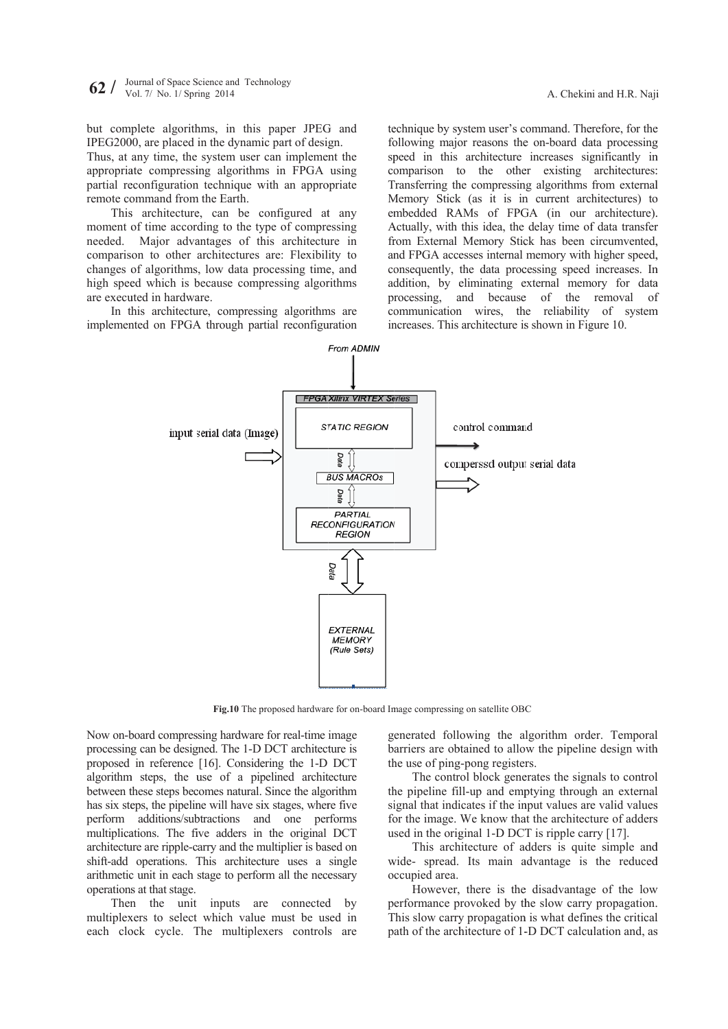but complete algorithms, in this paper JPEG and IPEG2000, are placed in the dynamic part of design.

Thus, at any time, the system user can implement the appropriate compressing algorithms in FPGA using partial reconfiguration technique with an appropriate remote command from the Earth.

This architecture, can be configured at any moment of time according to the type of compressing needed. comparis on to other architectures are: Flexibil ity to changes of algorithms, low data processing time, and high speed which is because compressing algorithms are executed in hardware. Major advantages of this architecture in

In this architecture, compressing algorithms are implemented on FPGA through partial reconfiguration technique by system user's command. Therefore, for the following major reasons the on-board data processing speed in this architecture increases significantly in comparison to the other existing architectures: Transferring the compressing algorithms from external Memory Stick (as it is in current architectures) to embedded RAMs of FPGA (in our architecture). Actually, with this idea, the delay time of data transfer from External Memory Stick has been circumvented, and FPGA accesses internal memory with higher speed, consequently, the data processing speed increases. In addition, by eliminating external memory for data processing, and because of the removal of communication wires, the reliability of system increases. This architecture is shown in Figure 10. aji iiegi<br>he he ng in he in ses:<br>lo.r, iiegi iiegi iiegi iiegi iiegi iiegi iiegi iiegi iiegi iiegi iiegi iiegi iiegi iiegi iiegi iiegi iiegi iiegi iiegi iiegi iiegi iiegi iiegi iiegi iiegi iiegi iiegi iiegi iiegi iiegi iie



Fig.10 The proposed hardware for on-board Image compressing on satellite OBC

Now on-board compressing hardware for real-time image processing can be designed. The 1-D DCT architecture is proposed in reference [16]. Considering the 1-D DCT algorithm steps, the use of a pipelined architecture between these steps becomes natural. Since the algorithm has six steps, the pipeline will have six stages, where five perform additions/subtractions and one performs multiplications. The five adders in the original DCT architecture are ripple-carry and the multiplier is based on shift-add operations. This architecture uses a single arithmetic unit in each stage to perform all the necessary operations s at that stage.

Then the unit inputs are connected by multiplexers to select which value must be used in each clock cycle. The multiplexers controls are g enerated foll owing the al lgorithm ord er. Temporal barriers are obtained to allow the pipeline design with the use of ping-pong registers.

the pipeline fill-up and emptying through an external signal that indicates if the input values are valid values for the image. We know that the architecture of adders used in the original  $1-D$  DCT is ripple carry  $[17]$ . The control block generates the signals to control

w wide- spread. Its main a advantage is the reduced o ccupied area. This architecture of adders is quite simple and

performance provoked by the slow carry propagation. This slow carry propagation is what defines the critical path of the architecture of 1-D DCT calculation and, as However, there is the disadvantage of the low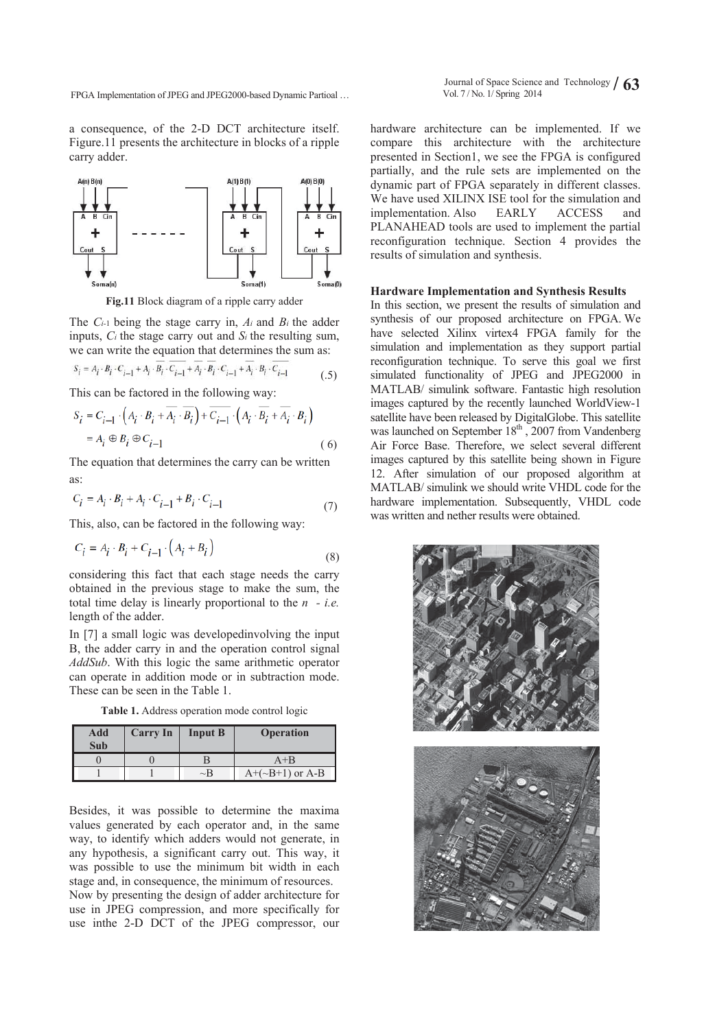FPGA Implementation of JPEG and JPEG2000-based Dynamic Partioal …

a consequence, of the 2-D DCT architecture itself. Figure.11 presents the architecture in blocks of a ripple carry adder.



**Fig.11** Block diagram of a ripple carry adder

The *Ci-*1 being the stage carry in, *Ai* and *Bi* the adder inputs, *Ci* the stage carry out and *Si* the resulting sum, we can write the equation that determines the sum as:

$$
S_i = A_i \cdot B_i \cdot C_{i-1} + A_i \cdot B_i \cdot C_{i-1} + A_i \cdot B_i \cdot C_{i-1} + A_i \cdot B_i \cdot C_{i-1}
$$
 (5)

This can be factored in the following way:

$$
S_i = C_{i-1} \cdot \left( A_i \cdot B_i + \overline{A_i} \cdot \overline{B_i} \right) + \overline{C_{i-1}} \cdot \left( A_i \cdot \overline{B_i} + \overline{A_i} \cdot B_i \right)
$$
  
=  $A_i \oplus B_i \oplus C_{i-1}$  (6)

The equation that determines the carry can be written as:

$$
C_i = A_i \cdot B_i + A_i \cdot C_{i-1} + B_i \cdot C_{i-1} \tag{7}
$$

This, also, can be factored in the following way:

$$
C_i = A_i \cdot B_i + C_{i-1} \cdot \left(A_i + B_i\right) \tag{8}
$$

considering this fact that each stage needs the carry obtained in the previous stage to make the sum, the total time delay is linearly proportional to the *n - i.e.*  length of the adder.

In [7] a small logic was developedinvolving the input B, the adder carry in and the operation control signal *AddSub*. With this logic the same arithmetic operator can operate in addition mode or in subtraction mode. These can be seen in the Table 1.

**Table 1.** Address operation mode control logic

| Add<br>Sub | <b>Carry In</b> | <b>Input B</b> | <b>Operation</b>    |
|------------|-----------------|----------------|---------------------|
|            |                 |                | $A+B$               |
|            |                 | $\sim$ B       | $A+(-B+1)$ or $A-B$ |

Besides, it was possible to determine the maxima values generated by each operator and, in the same way, to identify which adders would not generate, in any hypothesis, a significant carry out. This way, it was possible to use the minimum bit width in each stage and, in consequence, the minimum of resources. Now by presenting the design of adder architecture for use in JPEG compression, and more specifically for

use inthe 2-D DCT of the JPEG compressor, our

hardware architecture can be implemented. If we compare this architecture with the architecture presented in Section1, we see the FPGA is configured partially, and the rule sets are implemented on the dynamic part of FPGA separately in different classes. We have used XILINX ISE tool for the simulation and implementation. Also EARLY ACCESS and PLANAHEAD tools are used to implement the partial reconfiguration technique. Section 4 provides the results of simulation and synthesis.

## **Hardware Implementation and Synthesis Results**

In this section, we present the results of simulation and synthesis of our proposed architecture on FPGA. We have selected Xilinx virtex4 FPGA family for the simulation and implementation as they support partial reconfiguration technique. To serve this goal we first simulated functionality of JPEG and JPEG2000 in MATLAB/ simulink software. Fantastic high resolution images captured by the recently launched WorldView-1 satellite have been released by DigitalGlobe. This satellite was launched on September 18<sup>th</sup>, 2007 from Vandenberg Air Force Base. Therefore, we select several different images captured by this satellite being shown in Figure 12. After simulation of our proposed algorithm at MATLAB/ simulink we should write VHDL code for the hardware implementation. Subsequently, VHDL code was written and nether results were obtained.

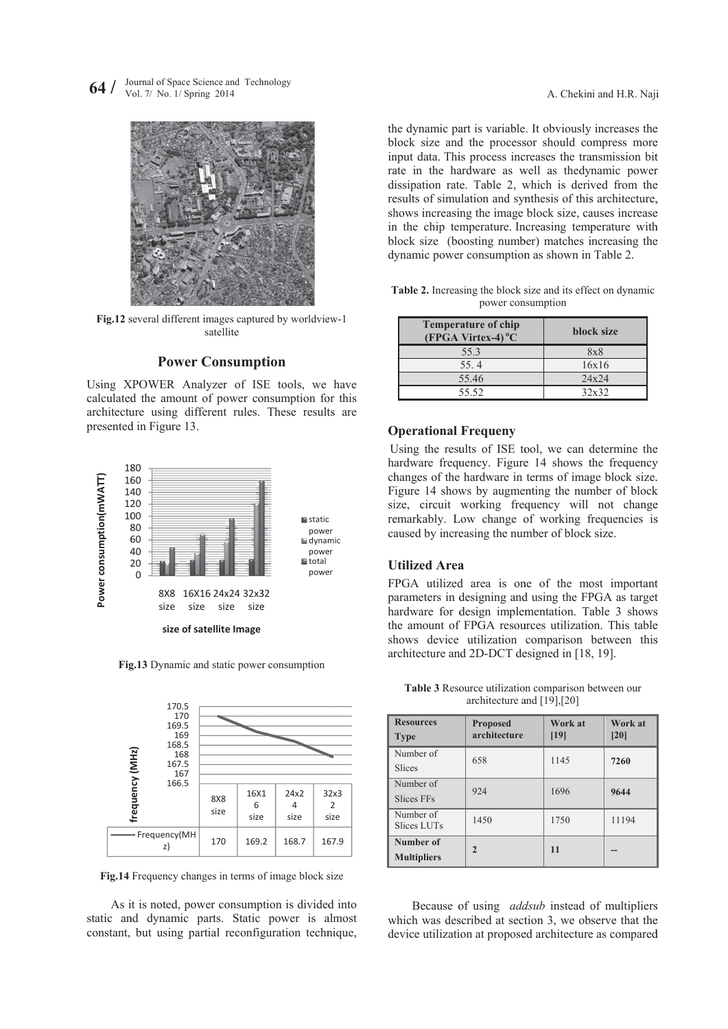$64 /$ Vol. 7/ No. 1/ Spring 2014 Science and Technology



Fig.12 several different images captured by worldview-1 satellite

# **Power Consumption**

Using XPOWER Analyzer of ISE tools, we have calculated the amount of power consumption for this architecture using different rules. These results are presented in Figure 13.



Fig.13 Dynamic and static power consumption



Fig.14 Frequency changes in terms of image block size

As it is noted, power consumption is divided into static and dynamic parts. Static power is almost constant, but using partial reconfiguration technique,

Table 2. Increasing the block size and its effect on dynamic power consumption

| <b>Temperature of chip</b><br>$(FPGA Virtex-4) °C$ | block size |  |
|----------------------------------------------------|------------|--|
| 55.3                                               | 8x8        |  |
| 55.4                                               | 16x16      |  |
| 55.46                                              | 24x24      |  |
| 55.52                                              | 32x32      |  |

# **O Operational Frequeny**

## **U Utilized Area a**

|                                                                                                                                                                                                                                                                                                                                                                                                                                                                                                                                                                                                                                                                                                                                                                                                                                                                                                                                                       |                                                                                                                                                                                                                                                                                                                                                                                                                                                                                                                                                                              | A. Chekini and H.R. Naji |       |  |  |  |
|-------------------------------------------------------------------------------------------------------------------------------------------------------------------------------------------------------------------------------------------------------------------------------------------------------------------------------------------------------------------------------------------------------------------------------------------------------------------------------------------------------------------------------------------------------------------------------------------------------------------------------------------------------------------------------------------------------------------------------------------------------------------------------------------------------------------------------------------------------------------------------------------------------------------------------------------------------|------------------------------------------------------------------------------------------------------------------------------------------------------------------------------------------------------------------------------------------------------------------------------------------------------------------------------------------------------------------------------------------------------------------------------------------------------------------------------------------------------------------------------------------------------------------------------|--------------------------|-------|--|--|--|
|                                                                                                                                                                                                                                                                                                                                                                                                                                                                                                                                                                                                                                                                                                                                                                                                                                                                                                                                                       | the dynamic part is variable. It obviously increases the<br>block size and the processor should compress more<br>input data. This process increases the transmission bit<br>rate in the hardware as well as thedynamic power<br>dissipation rate. Table 2, which is derived from the<br>results of simulation and synthesis of this architecture,<br>shows increasing the image block size, causes increase<br>in the chip temperature. Increasing temperature with<br>block size (boosting number) matches increasing the<br>dynamic power consumption as shown in Table 2. |                          |       |  |  |  |
|                                                                                                                                                                                                                                                                                                                                                                                                                                                                                                                                                                                                                                                                                                                                                                                                                                                                                                                                                       | Table 2. Increasing the block size and its effect on dynamic<br>power consumption                                                                                                                                                                                                                                                                                                                                                                                                                                                                                            |                          |       |  |  |  |
|                                                                                                                                                                                                                                                                                                                                                                                                                                                                                                                                                                                                                                                                                                                                                                                                                                                                                                                                                       | <b>Temperature of chip</b><br>(FPGA Virtex-4) <sup>°</sup> C                                                                                                                                                                                                                                                                                                                                                                                                                                                                                                                 | block size               |       |  |  |  |
|                                                                                                                                                                                                                                                                                                                                                                                                                                                                                                                                                                                                                                                                                                                                                                                                                                                                                                                                                       | 55.3                                                                                                                                                                                                                                                                                                                                                                                                                                                                                                                                                                         | <b>8x8</b>               |       |  |  |  |
|                                                                                                                                                                                                                                                                                                                                                                                                                                                                                                                                                                                                                                                                                                                                                                                                                                                                                                                                                       | 55.4                                                                                                                                                                                                                                                                                                                                                                                                                                                                                                                                                                         | 16x16                    |       |  |  |  |
|                                                                                                                                                                                                                                                                                                                                                                                                                                                                                                                                                                                                                                                                                                                                                                                                                                                                                                                                                       | 55.46                                                                                                                                                                                                                                                                                                                                                                                                                                                                                                                                                                        | 24x24                    |       |  |  |  |
|                                                                                                                                                                                                                                                                                                                                                                                                                                                                                                                                                                                                                                                                                                                                                                                                                                                                                                                                                       | 55.52                                                                                                                                                                                                                                                                                                                                                                                                                                                                                                                                                                        | 32x32                    |       |  |  |  |
| <b>Operational Frequeny</b><br>Using the results of ISE tool, we can determine the<br>hardware frequency. Figure 14 shows the frequency<br>changes of the hardware in terms of image block size.<br>Figure 14 shows by augmenting the number of block<br>size, circuit working frequency will not change<br>remarkably. Low change of working frequencies is<br>caused by increasing the number of block size.<br><b>Utilized Area</b><br>FPGA utilized area is one of the most important<br>parameters in designing and using the FPGA as target<br>hardware for design implementation. Table 3 shows<br>the amount of FPGA resources utilization. This table<br>shows device utilization comparison between this<br>architecture and 2D-DCT designed in [18, 19].<br>Table 3 Resource utilization comparison between our<br>architecture and [19],[20]<br><b>Resources</b><br>Work at<br>Work at<br><b>Proposed</b><br>architecture<br>[19]<br>[20] |                                                                                                                                                                                                                                                                                                                                                                                                                                                                                                                                                                              |                          |       |  |  |  |
| <b>Type</b><br>Number of                                                                                                                                                                                                                                                                                                                                                                                                                                                                                                                                                                                                                                                                                                                                                                                                                                                                                                                              |                                                                                                                                                                                                                                                                                                                                                                                                                                                                                                                                                                              |                          |       |  |  |  |
| Slices                                                                                                                                                                                                                                                                                                                                                                                                                                                                                                                                                                                                                                                                                                                                                                                                                                                                                                                                                | 658                                                                                                                                                                                                                                                                                                                                                                                                                                                                                                                                                                          | 1145                     | 7260  |  |  |  |
| Number of                                                                                                                                                                                                                                                                                                                                                                                                                                                                                                                                                                                                                                                                                                                                                                                                                                                                                                                                             |                                                                                                                                                                                                                                                                                                                                                                                                                                                                                                                                                                              |                          |       |  |  |  |
| <b>Slices FFs</b>                                                                                                                                                                                                                                                                                                                                                                                                                                                                                                                                                                                                                                                                                                                                                                                                                                                                                                                                     | 924                                                                                                                                                                                                                                                                                                                                                                                                                                                                                                                                                                          | 1696                     | 9644  |  |  |  |
| Number of<br>Slices LUTs                                                                                                                                                                                                                                                                                                                                                                                                                                                                                                                                                                                                                                                                                                                                                                                                                                                                                                                              | 1450                                                                                                                                                                                                                                                                                                                                                                                                                                                                                                                                                                         | 1750                     | 11194 |  |  |  |
| Number of<br><b>Multipliers</b>                                                                                                                                                                                                                                                                                                                                                                                                                                                                                                                                                                                                                                                                                                                                                                                                                                                                                                                       | $\overline{2}$                                                                                                                                                                                                                                                                                                                                                                                                                                                                                                                                                               | 11                       |       |  |  |  |
|                                                                                                                                                                                                                                                                                                                                                                                                                                                                                                                                                                                                                                                                                                                                                                                                                                                                                                                                                       | Because of using <i>addsub</i> instead of multipliers<br>which was described at section 3, we observe that the<br>device utilization at proposed architecture as compared                                                                                                                                                                                                                                                                                                                                                                                                    |                          |       |  |  |  |

Table 3 Resource utilization comparison between our architecture a and [19],[20]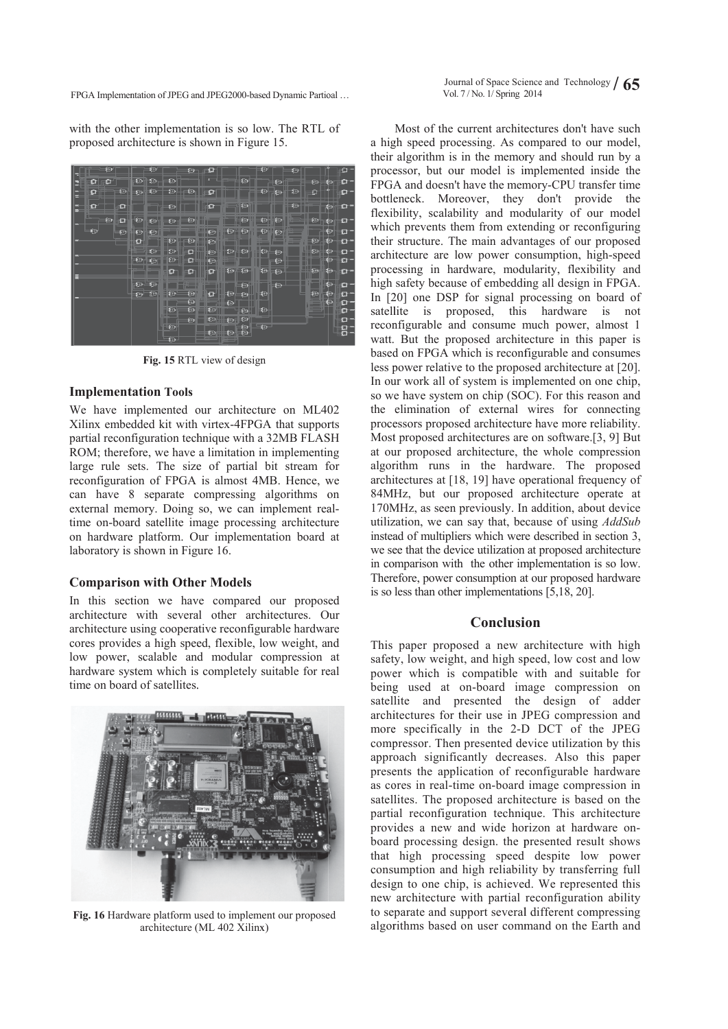FPGA Implementation of JPEG and JPEG2000-based Dynamic Partioal ...

with the other implementation is so low. The RTL of proposed architecture is shown in Figure 15.



**Fig. 15** RTL L view of design

# **Implementation Tools**

Fig. 15 RTL view of design<br> **Implementation Tools**<br>
We have implemented our architecture on ML402 Xilinx embedded kit with virtex-4FPGA that supports partial reconfiguration technique with a 32MB FLASH ROM; therefore, we have a limitation in implementing large rule sets. The size of partial bit stream for reconfiguration of FPGA is almost 4MB. Hence, we can have 8 separate compressing algorithms on external memory. Doing so, we can implement realtime on-board satellite image processing architecture on hardware platform. Our implementation board at laboratory is shown in Figure 16.

# **Comparison with Other Models**

In this section we have compared our proposed architecture with several other architectures. Our architecture using cooperative reconfigurable hardware cores provides a high speed, flexible, low weight, and low power, scalable and modular compression at hardware system which is completely suitable for real time on boar d of satellites.



Fig. 16 Hardware platform used to implement our proposed architecture ( (ML 402 Xilinx x)

a high speed processing. As compared to our model, their algorithm is in the memory and should run by a processor, but our model is implemented inside the FPGA and doesn't have the memory-CPU transfer time bottleneck. Moreover, they don't provide the flexibility, scalability and modularity of our model which prevents them from extending or reconfiguring their structure. The main advantages of our proposed architecture are low power consumption, high-speed processing in hardware, modularity, flexibility and high safety because of embedding all design in FPGA. In [2 20] one DSP for signal p processing on board of satellite is proposed, this hardware reconfigurable and consume much power, almost 1 watt. But the proposed architecture in this paper is based on FPGA which is reconfigurable and consumes less power relative to the proposed architecture at [20]. In our work all of system is implemented on one chip, so we have system on chip (SOC). For this reason and the elimination of external wires for c connecting processors proposed architecture have more reliability. Most proposed architectures are on software.[3, 9] But at our proposed architecture, the whole compression algorithm runs in the hardware. The proposed architectures at [18, 19] have operational frequency of 84MHz, but our proposed architecture operate at 170MHz, as seen previously. In addition, about device utilization, we can say that, because of using *AddSub* instead of multipliers which were described in section 3, we see that the device utilization at proposed architecture in comparison with the other implementation is so low. Therefore, power consumption at our proposed hardware is so less than other implementations  $[5,18, 20]$ . Most of the current architectures don't have such not

# **Conclusion**

This paper proposed a new architecture with high safety, low weight, and high speed, low cost and low power which is compatible with and suitable for being used at on-board image compression on satellite and presented the design of adder architectures for their use in JPEG compression and more specifically in the 2-D DCT of the JPEG compressor. Then presented device utilization by this approach significantly decreases. Also this paper presents the application of reconfigurable hardware as cores in real-time on-board image compression in satellites. The proposed architecture is based on the partial reconfiguration technique. This architecture provides a new and wide horizon at hardware onboard processing design. the presented result shows that high processing speed despite low power consumption and high reliability by transferring full design to one chip, is achieved. We represented this new architecture with partial reconfigurati on ability to separate and support several different compressing algorithms based on user command on the Earth and